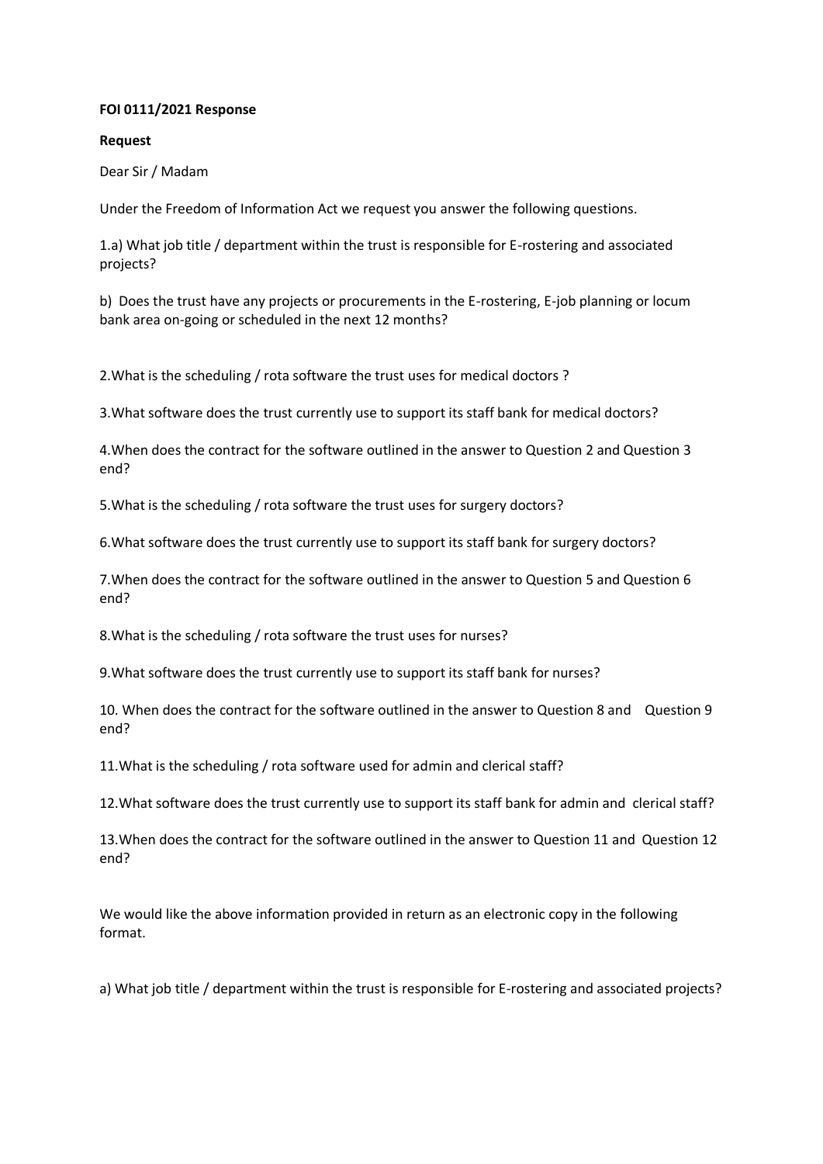#### **FOI 0111/2021 Response**

#### **Request**

Dear Sir / Madam

Under the Freedom of Information Act we request you answer the following questions.

1.a) What job title / department within the trust is responsible for E-rostering and associated projects?

b) Does the trust have any projects or procurements in the E-rostering, E-job planning or locum bank area on-going or scheduled in the next 12 months?

2.What is the scheduling / rota software the trust uses for medical doctors ?

3.What software does the trust currently use to support its staff bank for medical doctors?

4.When does the contract for the software outlined in the answer to Question 2 and Question 3 end?

5.What is the scheduling / rota software the trust uses for surgery doctors?

6.What software does the trust currently use to support its staff bank for surgery doctors?

7.When does the contract for the software outlined in the answer to Question 5 and Question 6 end?

8.What is the scheduling / rota software the trust uses for nurses?

9.What software does the trust currently use to support its staff bank for nurses?

10. When does the contract for the software outlined in the answer to Question 8 and Question 9 end?

11.What is the scheduling / rota software used for admin and clerical staff?

12.What software does the trust currently use to support its staff bank for admin and clerical staff?

13.When does the contract for the software outlined in the answer to Question 11 and Question 12 end?

We would like the above information provided in return as an electronic copy in the following format.

a) What job title / department within the trust is responsible for E-rostering and associated projects?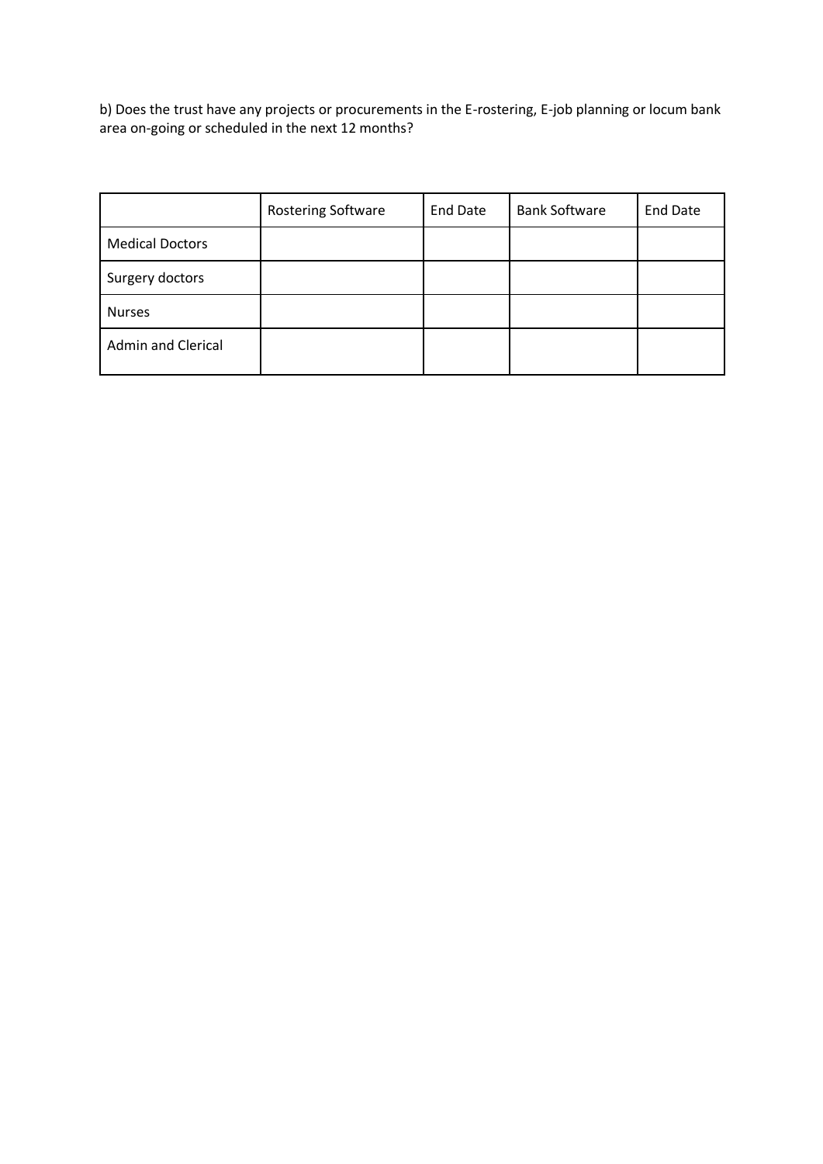b) Does the trust have any projects or procurements in the E-rostering, E-job planning or locum bank area on-going or scheduled in the next 12 months?

|                           | <b>Rostering Software</b> | <b>End Date</b> | <b>Bank Software</b> | <b>End Date</b> |
|---------------------------|---------------------------|-----------------|----------------------|-----------------|
| <b>Medical Doctors</b>    |                           |                 |                      |                 |
| Surgery doctors           |                           |                 |                      |                 |
| <b>Nurses</b>             |                           |                 |                      |                 |
| <b>Admin and Clerical</b> |                           |                 |                      |                 |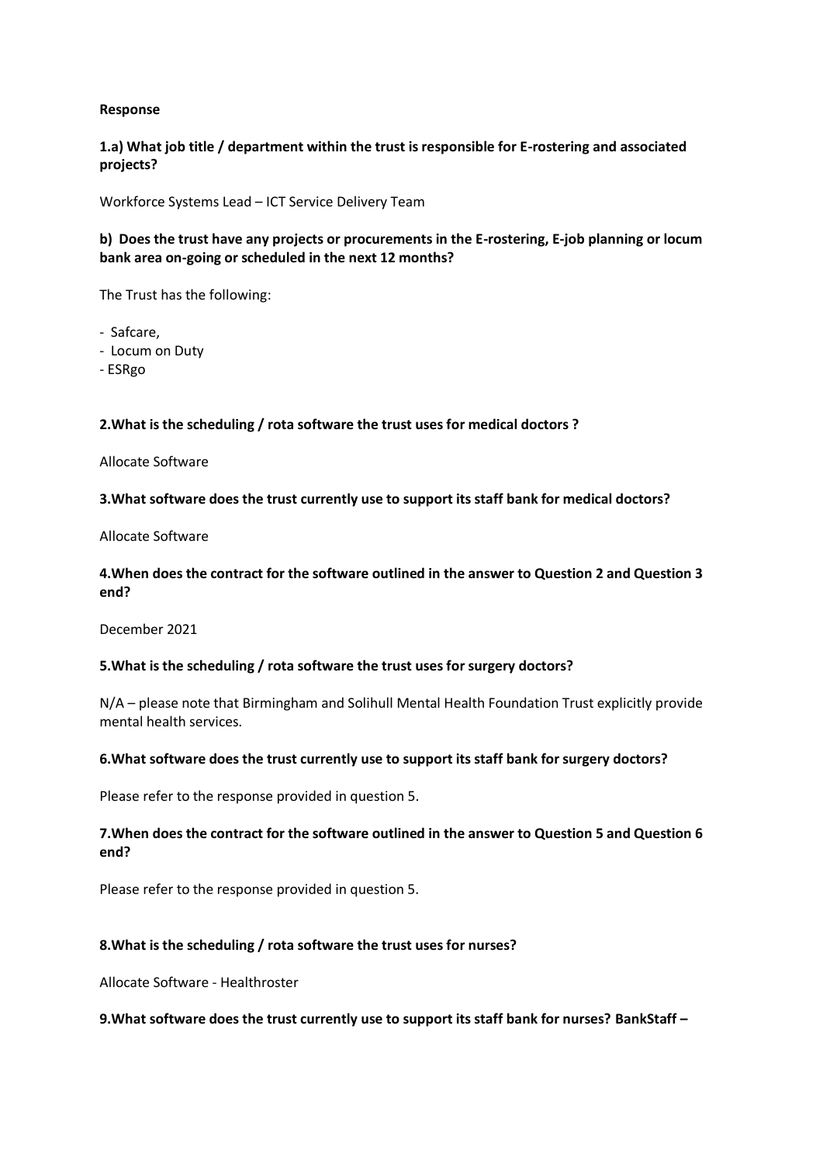### **Response**

# **1.a) What job title / department within the trust is responsible for E-rostering and associated projects?**

Workforce Systems Lead – ICT Service Delivery Team

# **b) Does the trust have any projects or procurements in the E-rostering, E-job planning or locum bank area on-going or scheduled in the next 12 months?**

The Trust has the following:

- Safcare,
- Locum on Duty
- ESRgo

### **2.What is the scheduling / rota software the trust uses for medical doctors ?**

#### Allocate Software

### **3.What software does the trust currently use to support its staff bank for medical doctors?**

Allocate Software

# **4.When does the contract for the software outlined in the answer to Question 2 and Question 3 end?**

December 2021

### **5.What is the scheduling / rota software the trust uses for surgery doctors?**

N/A – please note that Birmingham and Solihull Mental Health Foundation Trust explicitly provide mental health services.

#### **6.What software does the trust currently use to support its staff bank for surgery doctors?**

Please refer to the response provided in question 5.

# **7.When does the contract for the software outlined in the answer to Question 5 and Question 6 end?**

Please refer to the response provided in question 5.

### **8.What is the scheduling / rota software the trust uses for nurses?**

Allocate Software - Healthroster

### **9.What software does the trust currently use to support its staff bank for nurses? BankStaff –**